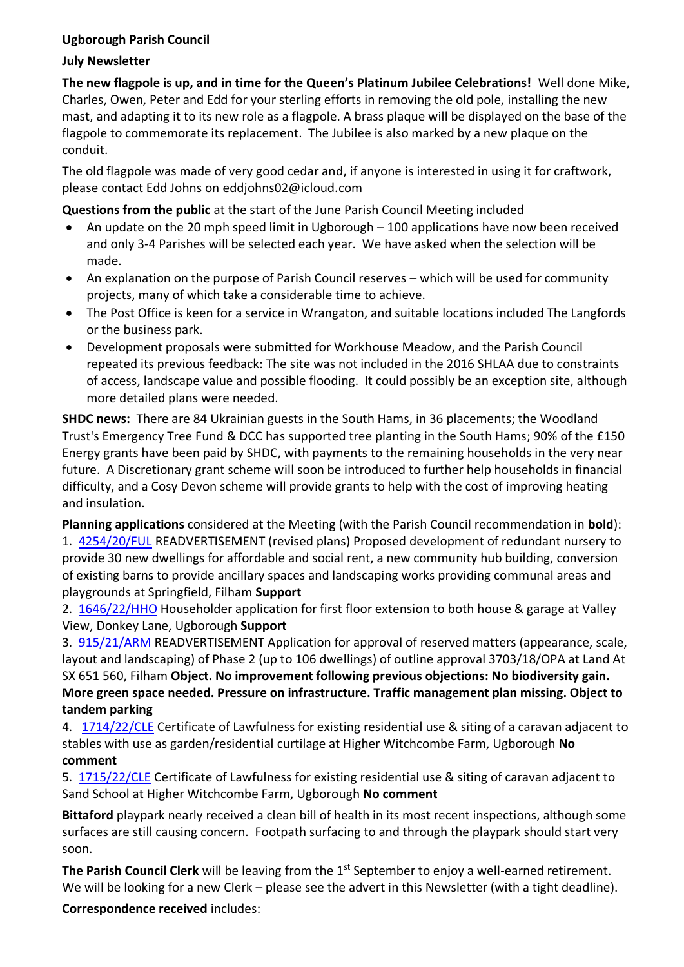## **Ugborough Parish Council**

## **July Newsletter**

**The new flagpole is up, and in time for the Queen's Platinum Jubilee Celebrations!** Well done Mike, Charles, Owen, Peter and Edd for your sterling efforts in removing the old pole, installing the new mast, and adapting it to its new role as a flagpole. A brass plaque will be displayed on the base of the flagpole to commemorate its replacement. The Jubilee is also marked by a new plaque on the conduit.

The old flagpole was made of very good cedar and, if anyone is interested in using it for craftwork, please contact Edd Johns on eddjohns02@icloud.com

**Questions from the public** at the start of the June Parish Council Meeting included

- An update on the 20 mph speed limit in Ugborough 100 applications have now been received and only 3-4 Parishes will be selected each year. We have asked when the selection will be made.
- An explanation on the purpose of Parish Council reserves which will be used for community projects, many of which take a considerable time to achieve.
- The Post Office is keen for a service in Wrangaton, and suitable locations included The Langfords or the business park.
- Development proposals were submitted for Workhouse Meadow, and the Parish Council repeated its previous feedback: The site was not included in the 2016 SHLAA due to constraints of access, landscape value and possible flooding. It could possibly be an exception site, although more detailed plans were needed.

**SHDC news:** There are 84 Ukrainian guests in the South Hams, in 36 placements; the Woodland Trust's Emergency Tree Fund & DCC has supported tree planting in the South Hams; 90% of the £150 Energy grants have been paid by SHDC, with payments to the remaining households in the very near future. A Discretionary grant scheme will soon be introduced to further help households in financial difficulty, and a Cosy Devon scheme will provide grants to help with the cost of improving heating and insulation.

**Planning applications** considered at the Meeting (with the Parish Council recommendation in **bold**): 1. [4254/20/FUL](http://apps.southhams.gov.uk/PlanningSearchMVC/Home/Details/204254) READVERTISEMENT (revised plans) Proposed development of redundant nursery to provide 30 new dwellings for affordable and social rent, a new community hub building, conversion of existing barns to provide ancillary spaces and landscaping works providing communal areas and playgrounds at Springfield, Filham **Support**

2. [1646/22/HHO](http://apps.southhams.gov.uk/PlanningSearchMVC/Home/Details/221646) Householder application for first floor extension to both house & garage at Valley View, Donkey Lane, Ugborough **Support**

3. [915/21/ARM](http://apps.southhams.gov.uk/PlanningSearchMVC/Home/Details/213915) READVERTISEMENT Application for approval of reserved matters (appearance, scale, layout and landscaping) of Phase 2 (up to 106 dwellings) of outline approval 3703/18/OPA at Land At SX 651 560, Filham **Object. No improvement following previous objections: No biodiversity gain. More green space needed. Pressure on infrastructure. Traffic management plan missing. Object to tandem parking** 

4. [1714/22/CLE](http://apps.southhams.gov.uk/PlanningSearchMVC/Home/Details/221714) Certificate of Lawfulness for existing residential use & siting of a caravan adjacent to stables with use as garden/residential curtilage at Higher Witchcombe Farm, Ugborough **No comment**

5. [1715/22/CLE](http://apps.southhams.gov.uk/PlanningSearchMVC/Home/Details/221715) Certificate of Lawfulness for existing residential use & siting of caravan adjacent to Sand School at Higher Witchcombe Farm, Ugborough **No comment**

**Bittaford** playpark nearly received a clean bill of health in its most recent inspections, although some surfaces are still causing concern. Footpath surfacing to and through the playpark should start very soon.

**The Parish Council Clerk** will be leaving from the 1<sup>st</sup> September to enjoy a well-earned retirement. We will be looking for a new Clerk – please see the advert in this Newsletter (with a tight deadline).

**Correspondence received** includes: